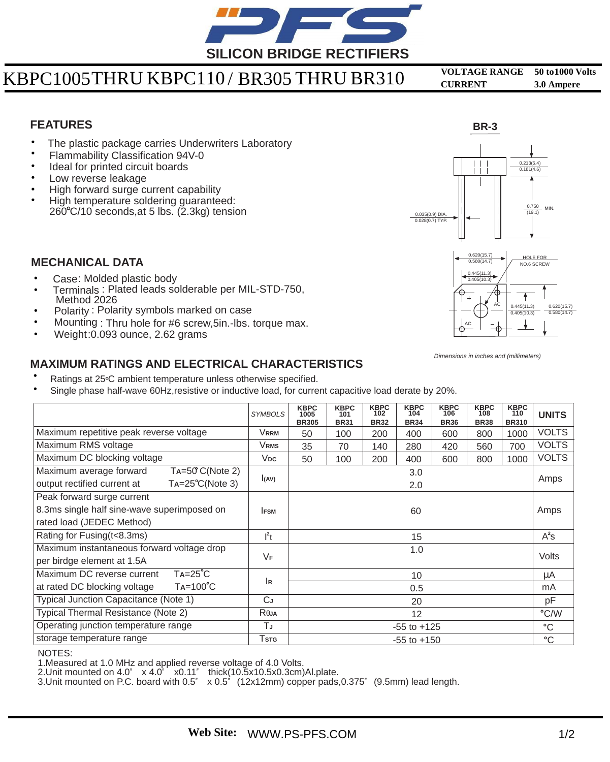

# **<sup>1000</sup>** KBPC1005 KBPC110 / BR305 BR310 **<sup>3</sup> <sup>50</sup>** THRU **VOLTAGE RANGE to Volts**  THRU

**0 CURRENT . Ampere** 

### **FEATURES**

- The plastic package carries Underwriters Laboratory •
- Flammability Classification 94V-0 •
- Ideal for printed circuit boards •
- Low reverse leakage •
- High forward surge current capability •
- High temperature soldering guaranteed:  $260^{\circ}$ C/10 seconds, at 5 lbs. (2.3kg) tension •





#### **MECHANICAL DATA**

- Case: Molded plastic body
- Terminals : Plated leads solderable per MIL-STD-750, Method 2026 •
- Polarity: Polarity symbols marked on case •
- Mounting : Thru hole for #6 screw,5in.-lbs. torque max. •
- Weight:0.093 ounce, 2.62 grams •

### **MAXIMUM RATINGS AND ELECTRICAL CHARACTERISTICS**

- Ratings at 25°C ambient temperature unless otherwise specified. •
- Single phase half-wave 60Hz,resistive or inductive load, for current capacitive load derate by 20%. •

|                                                           | <b>SYMBOLS</b>    | <b>KBPC</b><br>1005<br><b>BR305</b> | <b>KBPC</b><br>101<br><b>BR31</b> | <b>KBPC</b><br>102<br><b>BR32</b> | <b>KBPC</b><br>104<br><b>BR34</b> | <b>KBPC</b><br>106<br><b>BR36</b> | <b>KBPC</b><br>108<br><b>BR38</b> | <b>KBPC</b><br>110<br><b>BR310</b> | <b>UNITS</b> |
|-----------------------------------------------------------|-------------------|-------------------------------------|-----------------------------------|-----------------------------------|-----------------------------------|-----------------------------------|-----------------------------------|------------------------------------|--------------|
| Maximum repetitive peak reverse voltage                   | Vrrm              | 50                                  | 100                               | 200                               | 400                               | 600                               | 800                               | 1000                               | <b>VOLTS</b> |
| Maximum RMS voltage                                       | Vrms              | 35                                  | 70                                | 140                               | 280                               | 420                               | 560                               | 700                                | <b>VOLTS</b> |
| Maximum DC blocking voltage                               | $V_{DC}$          | 50                                  | 100                               | 200                               | 400                               | 600                               | 800                               | 1000                               | <b>VOLTS</b> |
| Maximum average forward<br>$Ta=50$ C(Note 2)              | 3.0               |                                     |                                   |                                   |                                   |                                   |                                   |                                    | Amps         |
| $Ta = 25^{\circ}C(Note 3)$<br>output rectified current at | (AV)              |                                     | 2.0                               |                                   |                                   |                                   |                                   |                                    |              |
| Peak forward surge current                                |                   |                                     |                                   |                                   |                                   |                                   |                                   |                                    |              |
| 8.3ms single half sine-wave superimposed on               | 60<br><b>IFSM</b> |                                     |                                   |                                   |                                   |                                   | Amps                              |                                    |              |
| rated load (JEDEC Method)                                 |                   |                                     |                                   |                                   |                                   |                                   |                                   |                                    |              |
| Rating for Fusing(t<8.3ms)                                | $l^2t$            | 15                                  |                                   |                                   |                                   |                                   |                                   | $A^2S$                             |              |
| Maximum instantaneous forward voltage drop                |                   | 1.0                                 |                                   |                                   |                                   |                                   |                                   |                                    | Volts        |
| per birdge element at 1.5A                                | VF                |                                     |                                   |                                   |                                   |                                   |                                   |                                    |              |
| $Ta = 25^{\circ}C$<br>Maximum DC reverse current          | lR                | 10                                  |                                   |                                   |                                   |                                   |                                   |                                    | μA           |
| $Ta=100^{\circ}C$<br>at rated DC blocking voltage         |                   | 0.5                                 |                                   |                                   |                                   |                                   |                                   |                                    | mA           |
| Typical Junction Capacitance (Note 1)                     | СJ                | 20                                  |                                   |                                   |                                   |                                   |                                   |                                    | pF           |
| Typical Thermal Resistance (Note 2)                       | Reja              | 12                                  |                                   |                                   |                                   |                                   |                                   |                                    | °C/W         |
| Operating junction temperature range                      | TJ                | $-55$ to $+125$                     |                                   |                                   |                                   |                                   |                                   |                                    | °C           |
| storage temperature range                                 | Tstg              | $-55$ to $+150$                     |                                   |                                   |                                   |                                   |                                   |                                    | °C           |

NOTES:

1.Measured at 1.0 MHz and applied reverse voltage of 4.0 Volts.

2.Unit mounted on 4.0" x 4.0" x0.11" thick(10.5x10.5x0.3cm)Al.plate.

3. Unit mounted on P.C. board with  $0.5$ "  $\times 0.5$ " (12x12mm) copper pads, $0.375$ " (9.5mm) lead length.

*Dimensions in inches and (millimeters)*